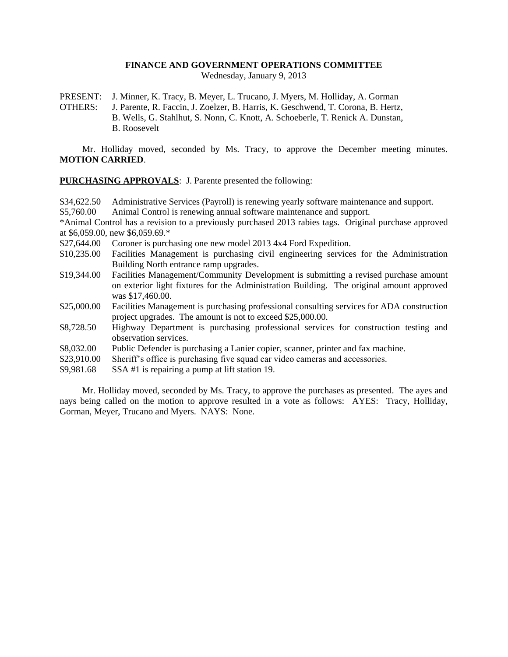## **FINANCE AND GOVERNMENT OPERATIONS COMMITTEE**

Wednesday, January 9, 2013

PRESENT: J. Minner, K. Tracy, B. Meyer, L. Trucano, J. Myers, M. Holliday, A. Gorman OTHERS: J. Parente, R. Faccin, J. Zoelzer, B. Harris, K. Geschwend, T. Corona, B. Hertz, B. Wells, G. Stahlhut, S. Nonn, C. Knott, A. Schoeberle, T. Renick A. Dunstan, B. Roosevelt

Mr. Holliday moved, seconded by Ms. Tracy, to approve the December meeting minutes. **MOTION CARRIED**.

**PURCHASING APPROVALS**: J. Parente presented the following:

\$34,622.50 Administrative Services (Payroll) is renewing yearly software maintenance and support. \$5,760.00 Animal Control is renewing annual software maintenance and support. \*Animal Control has a revision to a previously purchased 2013 rabies tags. Original purchase approved at \$6,059.00, new \$6,059.69.\* \$27,644.00 Coroner is purchasing one new model 2013 4x4 Ford Expedition. \$10,235.00 Facilities Management is purchasing civil engineering services for the Administration Building North entrance ramp upgrades. \$19,344.00 Facilities Management/Community Development is submitting a revised purchase amount on exterior light fixtures for the Administration Building. The original amount approved was \$17,460.00. \$25,000.00 Facilities Management is purchasing professional consulting services for ADA construction project upgrades. The amount is not to exceed \$25,000.00. \$8,728.50 Highway Department is purchasing professional services for construction testing and observation services. \$8,032.00 Public Defender is purchasing a Lanier copier, scanner, printer and fax machine. \$23,910.00 Sheriff's office is purchasing five squad car video cameras and accessories. \$9,981.68 SSA #1 is repairing a pump at lift station 19.

Mr. Holliday moved, seconded by Ms. Tracy, to approve the purchases as presented. The ayes and nays being called on the motion to approve resulted in a vote as follows: AYES: Tracy, Holliday, Gorman, Meyer, Trucano and Myers. NAYS: None.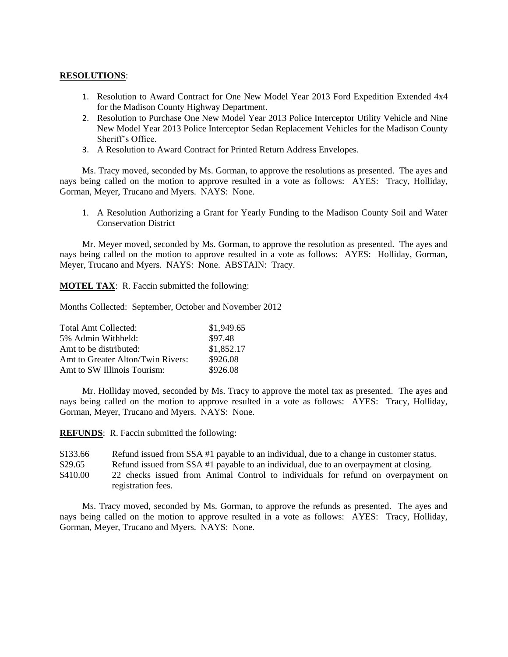## **RESOLUTIONS**:

- 1. Resolution to Award Contract for One New Model Year 2013 Ford Expedition Extended 4x4 for the Madison County Highway Department.
- 2. Resolution to Purchase One New Model Year 2013 Police Interceptor Utility Vehicle and Nine New Model Year 2013 Police Interceptor Sedan Replacement Vehicles for the Madison County Sheriff's Office.
- 3. A Resolution to Award Contract for Printed Return Address Envelopes.

Ms. Tracy moved, seconded by Ms. Gorman, to approve the resolutions as presented. The ayes and nays being called on the motion to approve resulted in a vote as follows: AYES: Tracy, Holliday, Gorman, Meyer, Trucano and Myers. NAYS: None.

1. A Resolution Authorizing a Grant for Yearly Funding to the Madison County Soil and Water Conservation District

Mr. Meyer moved, seconded by Ms. Gorman, to approve the resolution as presented. The ayes and nays being called on the motion to approve resulted in a vote as follows: AYES: Holliday, Gorman, Meyer, Trucano and Myers. NAYS: None. ABSTAIN: Tracy.

**MOTEL TAX**: R. Faccin submitted the following:

Months Collected: September, October and November 2012

| Total Amt Collected:              | \$1,949.65 |
|-----------------------------------|------------|
| 5% Admin Withheld:                | \$97.48    |
| Amt to be distributed:            | \$1,852.17 |
| Amt to Greater Alton/Twin Rivers: | \$926.08   |
| Amt to SW Illinois Tourism:       | \$926.08   |

Mr. Holliday moved, seconded by Ms. Tracy to approve the motel tax as presented. The ayes and nays being called on the motion to approve resulted in a vote as follows: AYES: Tracy, Holliday, Gorman, Meyer, Trucano and Myers. NAYS: None.

**REFUNDS**: R. Faccin submitted the following:

\$133.66 Refund issued from SSA #1 payable to an individual, due to a change in customer status.

- \$29.65 Refund issued from SSA #1 payable to an individual, due to an overpayment at closing.
- \$410.00 22 checks issued from Animal Control to individuals for refund on overpayment on registration fees.

Ms. Tracy moved, seconded by Ms. Gorman, to approve the refunds as presented. The ayes and nays being called on the motion to approve resulted in a vote as follows: AYES: Tracy, Holliday, Gorman, Meyer, Trucano and Myers. NAYS: None.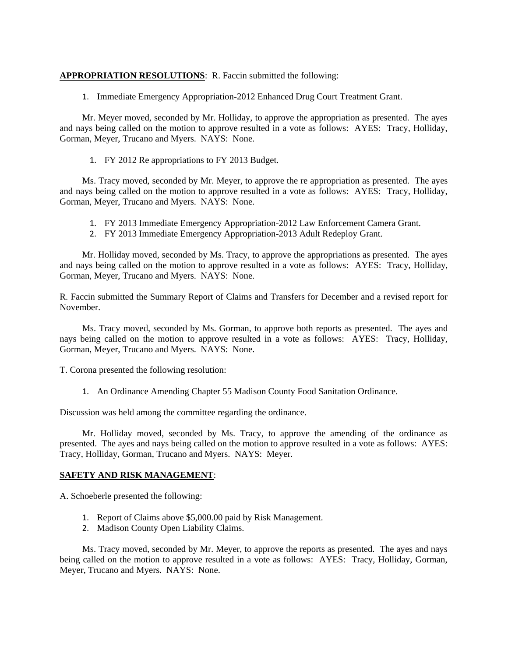## **APPROPRIATION RESOLUTIONS**: R. Faccin submitted the following:

1. Immediate Emergency Appropriation-2012 Enhanced Drug Court Treatment Grant.

Mr. Meyer moved, seconded by Mr. Holliday, to approve the appropriation as presented. The ayes and nays being called on the motion to approve resulted in a vote as follows: AYES: Tracy, Holliday, Gorman, Meyer, Trucano and Myers. NAYS: None.

1. FY 2012 Re appropriations to FY 2013 Budget.

Ms. Tracy moved, seconded by Mr. Meyer, to approve the re appropriation as presented. The ayes and nays being called on the motion to approve resulted in a vote as follows: AYES: Tracy, Holliday, Gorman, Meyer, Trucano and Myers. NAYS: None.

- 1. FY 2013 Immediate Emergency Appropriation-2012 Law Enforcement Camera Grant.
- 2. FY 2013 Immediate Emergency Appropriation-2013 Adult Redeploy Grant.

Mr. Holliday moved, seconded by Ms. Tracy, to approve the appropriations as presented. The ayes and nays being called on the motion to approve resulted in a vote as follows: AYES: Tracy, Holliday, Gorman, Meyer, Trucano and Myers. NAYS: None.

R. Faccin submitted the Summary Report of Claims and Transfers for December and a revised report for November.

Ms. Tracy moved, seconded by Ms. Gorman, to approve both reports as presented. The ayes and nays being called on the motion to approve resulted in a vote as follows: AYES: Tracy, Holliday, Gorman, Meyer, Trucano and Myers. NAYS: None.

T. Corona presented the following resolution:

1. An Ordinance Amending Chapter 55 Madison County Food Sanitation Ordinance.

Discussion was held among the committee regarding the ordinance.

Mr. Holliday moved, seconded by Ms. Tracy, to approve the amending of the ordinance as presented. The ayes and nays being called on the motion to approve resulted in a vote as follows: AYES: Tracy, Holliday, Gorman, Trucano and Myers. NAYS: Meyer.

## **SAFETY AND RISK MANAGEMENT**:

A. Schoeberle presented the following:

- 1. Report of Claims above \$5,000.00 paid by Risk Management.
- 2. Madison County Open Liability Claims.

Ms. Tracy moved, seconded by Mr. Meyer, to approve the reports as presented. The ayes and nays being called on the motion to approve resulted in a vote as follows: AYES: Tracy, Holliday, Gorman, Meyer, Trucano and Myers. NAYS: None.